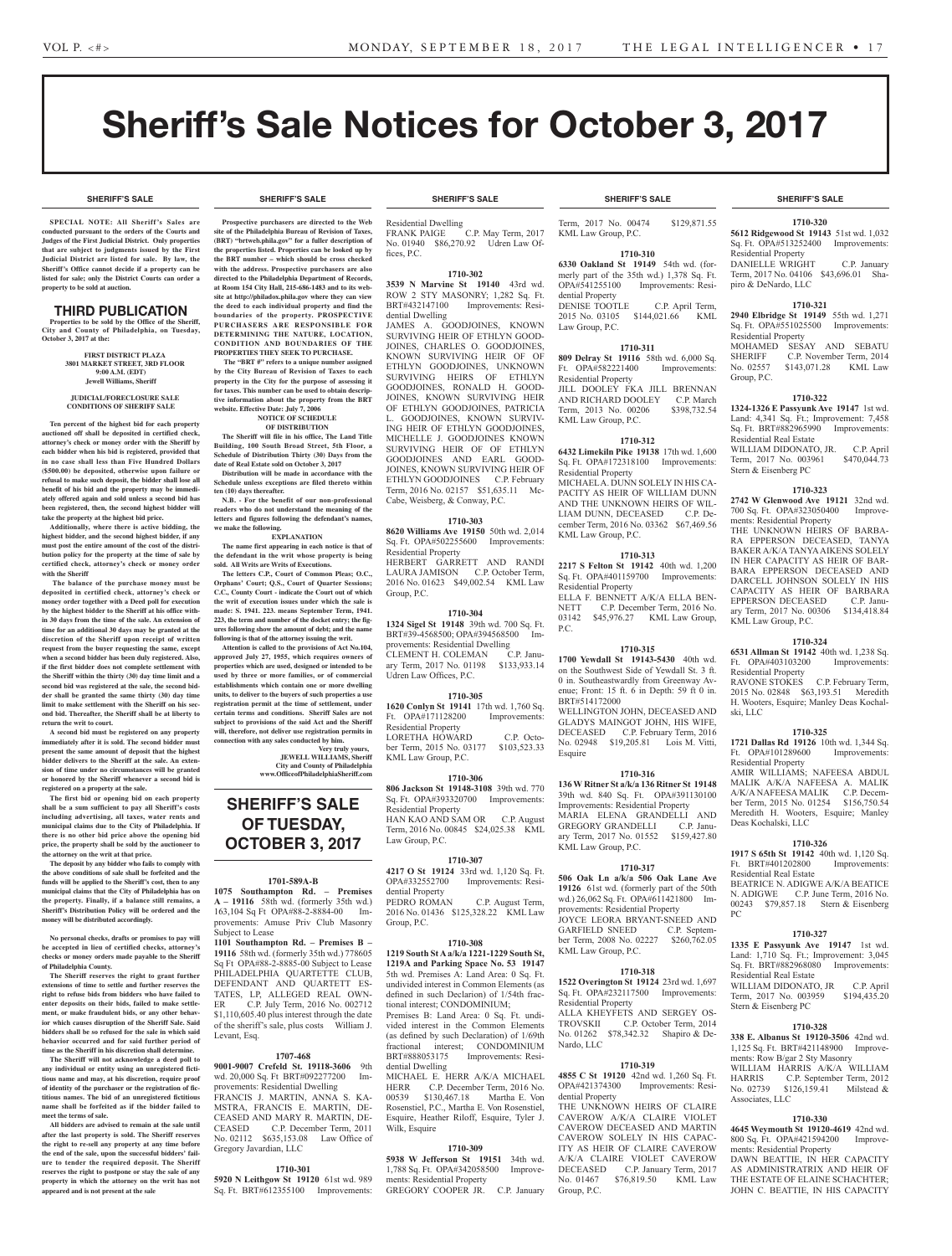# Sheriff's Sale Notices for October 3, 2017

**SHERIFF'S SALE SHERIFF'S SALE SHERIFF'S SALE SHERIFF'S SALE SHERIFF'S SALE**

### **SHERIFF'S SALE SHERIFF'S SALE SHERIFF'S SALE SHERIFF'S SALE SHERIFF'S SALE**

**SPECIAL NOTE: All Sheriff 's Sales are conducted pursuant to the orders of the Courts and Judges of the First Judicial District. Only properties that are subject to judgments issued by the First Judicial District are listed for sale. By law, the Sheriff's Office cannot decide if a property can be listed for sale; only the District Courts can order a property to be sold at auction.** 

## THIRD PUBLICATION

**Properties to be sold by the Office of the Sheriff, City and County of Philadelphia, on Tuesday, October 3, 2017 at the:** 

> **FIRST DISTRICT PLAZA 3801 MARKET STREET, 3RD FLOOR 9:00 A.M. (EDT) Jewell Williams, Sheriff**

#### **JUDICIAL/FORECLOSURE SALE CONDITIONS OF SHERIFF SALE**

**Ten percent of the highest bid for each property auctioned off shall be deposited in certified check, attorney's check or money order with the Sheriff by each bidder when his bid is registered, provided that in no case shall less than Five Hundred Dollars (\$500.00) be deposited, otherwise upon failure or refusal to make such deposit, the bidder shall lose all benefit of his bid and the property may be immediately offered again and sold unless a second bid has been registered, then, the second highest bidder will take the property at the highest bid price.**

**Additionally, where there is active bidding, the highest bidder, and the second highest bidder, if any must post the entire amount of the cost of the distribution policy for the property at the time of sale by certified check, attorney's check or money order with the Sheriff**

 **The balance of the purchase money must be deposited in certified check, attorney's check or money order together with a Deed poll for execution by the highest bidder to the Sheriff at his office within 30 days from the time of the sale. An extension of time for an additional 30 days may be granted at the discretion of the Sheriff upon receipt of written request from the buyer requesting the same, except when a second bidder has been duly registered. Also, if the first bidder does not complete settlement with the Sheriff within the thirty (30) day time limit and a second bid was registered at the sale, the second bidder shall be granted the same thirty (30) day time limit to make settlement with the Sheriff on his second bid. Thereafter, the Sheriff shall be at liberty to return the writ to court.**

**A second bid must be registered on any property immediately after it is sold. The second bidder must present the same amount of deposit that the highest bidder delivers to the Sheriff at the sale. An extension of time under no circumstances will be granted or honored by the Sheriff whenever a second bid is registered on a property at the sale.** 

**The first bid or opening bid on each property shall be a sum sufficient to pay all Sheriff's costs including advertising, all taxes, water rents and municipal claims due to the City of Philadelphia. If there is no other bid price above the opening bid price, the property shall be sold by the auctioneer to the attorney on the writ at that price.**

**The deposit by any bidder who fails to comply with the above conditions of sale shall be forfeited and the funds will be applied to the Sheriff's cost, then to any municipal claims that the City of Philadelphia has on the property. Finally, if a balance still remains, a Sheriff's Distribution Policy will be ordered and the money will be distributed accordingly.**

**No personal checks, drafts or promises to pay will be accepted in lieu of certified checks, attorney's checks or money orders made payable to the Sheriff of Philadelphia County.**

**The Sheriff reserves the right to grant further extensions of time to settle and further reserves the right to refuse bids from bidders who have failed to enter deposits on their bids, failed to make settlement, or make fraudulent bids, or any other behavior which causes disruption of the Sheriff Sale. Said bidders shall be so refused for the sale in which said behavior occurred and for said further period of time as the Sheriff in his discretion shall determine.**

**The Sheriff will not acknowledge a deed poll to any individual or entity using an unregistered fictitious name and may, at his discretion, require proof of identity of the purchaser or the registration of fictitious names. The bid of an unregistered fictitious name shall be forfeited as if the bidder failed to meet the terms of sale.**

**All bidders are advised to remain at the sale until after the last property is sold. The Sheriff reserves the right to re-sell any property at any time before the end of the sale, upon the successful bidders' failure to tender the required deposit. The Sheriff reserves the right to postpone or stay the sale of any property in which the attorney on the writ has not appeared and is not present at the sale**

**Prospective purchasers are directed to the Web site of the Philadelphia Bureau of Revision of Taxes, (BRT)** "brtweb.phila.gov" for a fuller description of **the properties listed. Properties can be looked up by the BRT number – which should be cross checked with the address. Prospective purchasers are also directed to the Philadelphia Department of Records, at Room 154 City Hall, 215-686-1483 and to its website at http://philadox.phila.gov where they can view the deed to each individual property and find the boundaries of the property. PROSPECTIVE PURCHASERS ARE RESPONSIBLE FOR DETERMINING THE NATURE, LOCATION, CONDITION AND BOUNDARIES OF THE** 

**PROPERTIES THEY SEEK TO PURCHASE. The "BRT #" refers to a unique number assigned by the City Bureau of Revision of Taxes to each property in the City for the purpose of assessing it for taxes. This number can be used to obtain descriptive information about the property from the BRT website. Effective Date: July 7, 2006**

#### **NOTICE OF SCHEDULE OF DISTRIBUTION**

**The Sheriff will file in his office, The Land Title Building, 100 South Broad Street, 5th Floor, a Schedule of Distribution Thirty (30) Days from the date of Real Estate sold on October 3, 2017**

**Distribution will be made in accordance with the Schedule unless exceptions are filed thereto within ten (10) days thereafter. N.B. - For the benefit of our non-professional** 

**readers who do not understand the meaning of the**  letters and figures following the defendant's names **we make the following.**

**EXPLANATION The name first appearing in each notice is that of the defendant in the writ whose property is being** 

sold. All Writs are Writs of Executions. **The letters C.P., Court of Common Pleas; O.C., Orphans' Court; Q.S., Court of Quarter Sessions; C.C., County Court - indicate the Court out of which the writ of execution issues under which the sale is made: S. 1941. 223. means September Term, 1941. 223, the term and number of the docket entry; the figures following show the amount of debt; and the name following is that of the attorney issuing the writ.**

**Attention is called to the provisions of Act No.104, approved July 27, 1955, which requires owners of properties which are used, designed or intended to be used by three or more families, or of commercial establishments which contain one or more dwelling units, to deliver to the buyers of such properties a use registration permit at the time of settlement, under certain terms and conditions. Sheriff Sales are not subject to provisions of the said Act and the Sheriff will, therefore, not deliver use registration permits in connection with any sales conducted by him.**

**Very truly yours, JEWELL WILLIAMS, Sheriff City and County of Philadelphia www.OfficeofPhiladelphiaSheriff.com**

## **SHERIFF'S SALE OF TUESDAY, OCTOBER 3, 2017**

#### **1701-589A-B**

**1075 Southampton Rd. – Premises A – 19116** 58th wd. (formerly 35th wd.) 163,104 Sq Ft OPA#88-2-8884-00 Improvements: Amuse Priv Club Masonry Subject to Lease

**1101 Southampton Rd. – Premises B – 19116** 58th wd. (formerly 35th wd.) 778605 Sq Ft OPA#88-2-8885-00 Subject to Lease PHILADELPHIA QUARTETTE CLUB, DEFENDANT AND QUARTETT ES-TATES, LP, ALLEGED REAL OWN-ER C.P. July Term, 2016 No. 002712 \$1,110,605.40 plus interest through the date of the sheriff's sale, plus costs William J. Levant, Esq.

## **1707-468**

**9001-9007 Crefeld St. 19118-3606** 9th wd. 20,000 Sq. Ft BRT#092277200 Improvements: Residential Dwelling FRANCIS J. MARTIN, ANNA S. KA-MSTRA, FRANCIS E. MARTIN, DE-CEASED AND MARY R. MARTIN, DE-

CEASED C.P. December Term, 2011 No. 02112 \$635,153.08 Law Office of Gregory Javardian, LLC

#### **1710-301**

**5920 N Leithgow St 19120** 61st wd. 989 Sq. Ft. BRT#612355100 Improvements:

Residential Dwelling<br>FRANK PAIGE C.P. May Term, 2017 No. 01940 \$86,270.92 Udren Law Of-

fices, P.C.

## **1710-302**

**3539 N Marvine St 19140** 43rd wd. ROW 2 STY MASONRY; 1,282 Sq. Ft. BRT#432147100 Improvements: Residential Dwelling JAMES A. GOODJOINES, KNOWN

SURVIVING HEIR OF ETHLYN GOOD-JOINES, CHARLES O. GOODJOINES, KNOWN SURVIVING HEIR OF OF ETHLYN GOODJOINES, UNKNOWN SURVIVING HEIRS OF ETHLYN GOODJOINES, RONALD H. GOOD-JOINES, KNOWN SURVIVING HEIR OF ETHLYN GOODJOINES, PATRICIA L. GOODJOINES, KNOWN SURVIV-ING HEIR OF ETHLYN GOODJOINES, MICHELLE J. GOODJOINES KNOWN SURVIVING HEIR OF OF ETHLYN GOODJOINES AND EARL GOOD-JOINES, KNOWN SURVIVING HEIR OF ETHLYN GOODJOINES C.P. February Term, 2016 No. 02157 \$51,635.11 Mc-Cabe, Weisberg, & Conway, P.C.

## **1710-303**

**8620 Williams Ave 19150** 50th wd. 2,014 Sq. Ft. OPA#502255600 Improvements: Residential Property HERBERT GARRETT AND RANDI LAURA JAMISON C.P. October Term,

2016 No. 01623 \$49,002.54 KML Law Group, P.C.

**1710-304 1324 Sigel St 19148** 39th wd. 700 Sq. Ft. BRT#39-4568500; OPA#394568500 Improvements: Residential Dwelling<br>CLEMENT H\_COLEMAN \_\_\_\_\_ C\_P\_Ianu-CLEMENT H. COLEMAN ary Term, 2017 No. 01198 \$133,933.14 Udren Law Offices, P.C.

### **1710-305**

**1620 Conlyn St 19141** 17th wd. 1,760 Sq. Ft. OPA#171128200 Improvements: Residential Property LORETHA HOWARD C.P. October Term, 2015 No. 03177 \$103,523.33 KML Law Group, P.C.

## **1710-306**

**806 Jackson St 19148-3108** 39th wd. 770 Sq. Ft. OPA#393320700 Improvements: Residential Property HAN KAO AND SAM OR C.P. August Term, 2016 No. 00845 \$24,025.38 KML Law Group, P.C.

## **1710-307**

**4217 O St 19124** 33rd wd. 1,120 Sq. Ft. OPA#332552700 Improvements: Residential Property PEDRO ROMAN C.P. August Term, 2016 No. 01436 \$125,328.22 KML Law Group, P.C.

#### **1710-308**

**1219 South St A a/k/a 1221-1229 South St, 1219A and Parking Space No. 53 19147**  5th wd. Premises A: Land Area: 0 Sq. Ft. undivided interest in Common Elements (as defined in such Declarion) of 1/54th fractional interest; CONDOMINIUM; Premises B: Land Area: 0 Sq. Ft. undivided interest in the Common Elements (as defined by such Declaration) of 1/69th fractional interest; CONDOMINIUM<br>BRT#888053175 Improvements: Resi-Improvements: Residential Dwelling

MICHAEL E. HERR A/K/A MICHAEL HERR C.P. December Term, 2016 No. 00539 \$130,467.18 Martha E. Von Rosenstiel, P.C., Martha E. Von Rosenstiel, Esquire, Heather Riloff, Esquire, Tyler J. Wilk, Esquire

## **1710-309**

**5938 W Jefferson St 19151** 34th wd. 1,788 Sq. Ft. OPA#342058500 Improvements: Residential Property GREGORY COOPER JR. C.P. January

Term, 2017 No. 00474 \$129,871.55 KML Law Group, P.C.

## **1710-310**

**6330 Oakland St 19149** 54th wd. (formerly part of the 35th wd.) 1,378 Sq. Ft.<br>OPA#541255100 Improvements: Resi-OPA#541255100 dential Property DENISE TOOTLE C.P. April Term,<br>2015 No. 03105 \$144,021.66 KML

\$144,021.66 KML Law Group, P.C.

**1710-311 809 Delray St 19116** 58th wd. 6,000 Sq. Ft. OPA#582221400 Residential Property JILL DOOLEY FKA JILL BRENNAN AND RICHARD DOOLEY C.P. March<br>Term. 2013 No. 00206 \$398,732.54 Term, 2013 No. 00206 KML Law Group, P.C.

## **1710-312**

**6432 Limekiln Pike 19138** 17th wd. 1,600 Sq. Ft. OPA#172318100 Improvements: Residential Property MICHAEL A. DUNN SOLELY IN HIS CA-PACITY AS HEIR OF WILLIAM DUNN AND THE UNKNOWN HEIRS OF WIL-LIAM DUNN, DECEASED C.P. December Term, 2016 No. 03362 \$67,469.56 KML Law Group, P.C.

## **1710-313**

**2217 S Felton St 19142** 40th wd. 1,200 Sq. Ft. OPA#401159700 Improvements: Residential Property ELLA F. BENNETT A/K/A ELLA BEN-NETT C.P. December Term, 2016 No. 03142 \$45,976.27 KML Law Group, P.C.

## **1710-315**

**1700 Yewdall St 19143-5430** 40th wd. on the Southwest Side of Yewdall St. 3 ft. 0 in. Southeastwardly from Greenway Avenue; Front: 15 ft. 6 in Depth: 59 ft 0 in. BRT#514172000 WELLINGTON JOHN, DECEASED AND GLADYS MAINGOT JOHN, HIS WIFE, DECEASED C.P. February Term, 2016 No. 02948 \$19,205.81 Lois M. Vitti, Esquire

## **1710-316**

**136 W Ritner St a/k/a 136 Ritner St 19148**  39th wd. 840 Sq. Ft. OPA#391130100 Improvements: Residential Property MARIA ELENA GRANDELLI AND<br>GREGORY GRANDELLI C.P. Janu-GREGORY GRANDELLI ary Term, 2017 No. 01552 \$159,427.80 KML Law Group, P.C.

### **1710-317**

**506 Oak Ln a/k/a 506 Oak Lane Ave 19126** 61st wd. (formerly part of the 50th wd.) 26,062 Sq. Ft. OPA#611421800 Improvements: Residential Property JOYCE LEORA BRYANT-SNEED AND GARFIELD SNEED C.P. September Term, 2008 No. 02227 \$260,762.05 KML Law Group, P.C.

#### **1710-318**

**1522 Overington St 19124** 23rd wd. 1,697 Sq. Ft. OPA#232117500 Improvements: Residential Property ALLA KHEYFETS AND SERGEY OS-TROVSKII C.P. October Term, 2014 No. 01262 \$78,342.32 Shapiro & De-Nardo, LLC

## **1710-319**

**4855 C St 19120** 42nd wd. 1,260 Sq. Ft. OPA#421374300 Improvements: Residential Property THE UNKNOWN HEIRS OF CLAIRE CAVEROW A/K/A CLAIRE VIOLET CAVEROW DECEASED AND MARTIN CAVEROW SOLELY IN HIS CAPAC-ITY AS HEIR OF CLAIRE CAVEROW A/K/A CLAIRE VIOLET CAVEROW DECEASED C.P. January Term, 2017<br>No. 01467 \$76.819.50 KML Law No. 01467 \$76,819.50 Group, P.C.

#### **1710-320**

**5612 Ridgewood St 19143** 51st wd. 1,032 Sq. Ft. OPA#513252400 Improvements: Residential Property DANIELLE WRIGHT C.P. January

Term, 2017 No. 04106 \$43,696.01 Shapiro & DeNardo, LLC

## **1710-321**

**2940 Elbridge St 19149** 55th wd. 1,271 Sq. Ft. OPA#551025500 Improvements: Residential Property MOHAMED SESAY AND SEBATU SHERIFF C.P. November Term, 2014<br>No. 02557 \$143,071.28 KML Law \$143,071.28 KML Law Group, P.C.

## **1710-322**

**1324-1326 E Passyunk Ave 19147** 1st wd. Land: 4,341 Sq. Ft.; Improvement: 7,458 Sq. Ft. BRT#882965990 Improvements: Residential Real Estate WILLIAM DIDONATO, JR. C.P. April<br>Term, 2017 No. 003961 \$470,044.73 Term, 2017 No. 003961 Stern & Eisenberg PC

## **1710-323**

**2742 W Glenwood Ave 19121** 32nd wd. 700 Sq. Ft. OPA#323050400 Improvements: Residential Property THE UNKNOWN HEIRS OF BARBA-

RA EPPERSON DECEASED, TANYA BAKER A/K/A TANYA AIKENS SOLELY IN HER CAPACITY AS HEIR OF BAR-BARA EPPERSON DECEASED AND DARCELL JOHNSON SOLELY IN HIS CAPACITY AS HEIR OF BARBARA EPPERSON DECEASED C.P. January Term, 2017 No. 00306 \$134,418.84 KML Law Group, P.C.

### **1710-324**

**6531 Allman St 19142** 40th wd. 1,238 Sq. Ft. OPA#403103200 Residential Property RAVONE STOKES C.P. February Term,

2015 No. 02848 \$63,193.51 Meredith H. Wooters, Esquire; Manley Deas Kochalski, LLC

## **1710-325**

**1721 Dallas Rd 19126** 10th wd. 1,344 Sq. Ft. OPA#101289600 Improvements: Ft. OPA#101289600 Residential Property

AMIR WILLIAMS; NAFEESA ABDUL MALIK A/K/A NAFEESA A. MALIK A/K/A NAFEESA MALIK C.P. December Term, 2015 No. 01254 \$156,750.54 Meredith H. Wooters, Esquire; Manley Deas Kochalski, LLC

## **1710-326**

**1917 S 65th St 19142** 40th wd. 1,120 Sq. Ft. BRT#401202800 Improvements: Residential Real Estate

BEATRICE N. ADIGWE A/K/A BEATICE<br>N. ADIGWE C.P. June Term, 2016 No. C.P. June Term, 2016 No. 00243 \$79,857.18 Stern & Eisenberg PC

## **1710-327**

**1335 E Passyunk Ave 19147** 1st wd. Land: 1,710 Sq. Ft.; Improvement: 3,045 Sq. Ft. BRT#882968080 Improvements: Residential Real Estate WILLIAM DIDONATO, JR C.P. April Term, 2017 No. 003959 \$194,435.20 Stern & Eisenberg PC

**1710-328 338 E. Albanus St 19120-3506** 42nd wd. 1,125 Sq. Ft. BRT#421148900 Improvements: Row B/gar 2 Sty Masonry WILLIAM HARRIS A/K/A WILLIAM HARRIS C.P. September Term, 2012 No. 02739 \$126,159.41 Milstead &

**1710-330 4645 Weymouth St 19120-4619** 42nd wd. 800 Sq. Ft. OPA#421594200 Improve-

DAWN BEATTIE, IN HER CAPACITY AS ADMINISTRATRIX AND HEIR OF THE ESTATE OF ELAINE SCHACHTER; JOHN C. BEATTIE, IN HIS CAPACITY

Associates, LLC

ments: Residential Property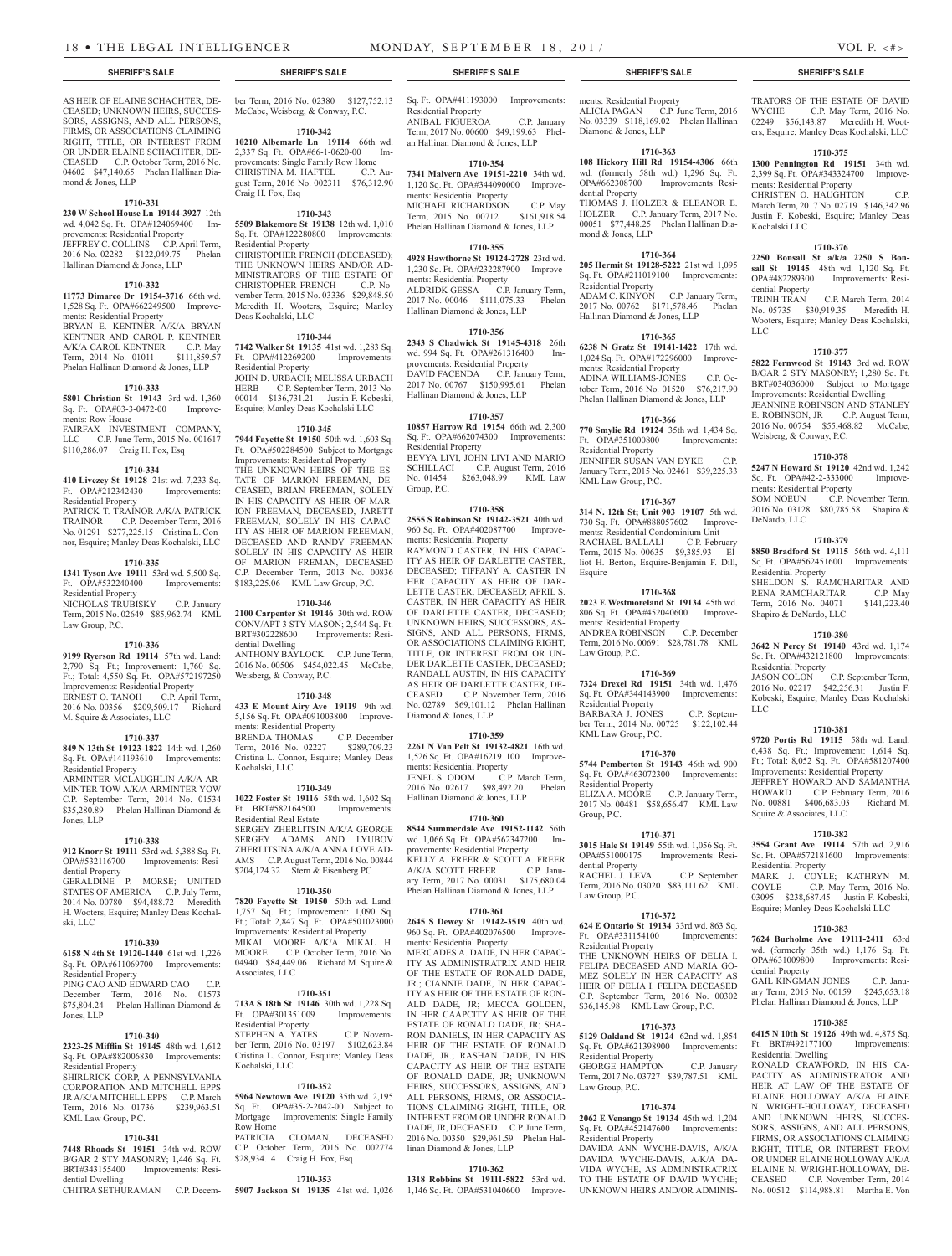AS HEIR OF ELAINE SCHACHTER, DE-CEASED; UNKNOWN HEIRS, SUCCES-SORS, ASSIGNS, AND ALL PERSONS, FIRMS, OR ASSOCIATIONS CLAIMING RIGHT, TITLE, OR INTEREST FROM OR UNDER ELAINE SCHACHTER, DE-CEASED C.P. October Term, 2016 No. 04602 \$47,140.65 Phelan Hallinan Dia-

**1710-331 230 W School House Ln 19144-3927** 12th wd. 4,042 Sq. Ft. OPA#124069400 Improvements: Residential Property

JEFFREY C. COLLINS C.P. April Term,<br>2016 No. 02282 \$122,049.75 Phelan 2016 No. 02282 \$122,049.75 Hallinan Diamond & Jones, LLP

**1710-332 11773 Dimarco Dr 19154-3716** 66th wd. 1,528 Sq. Ft. OPA#662249500 Improve-

BRYAN E. KENTNER A/K/A BRYAN KENTNER AND CAROL P. KENTNER A/K/A CAROL KENTNER C.P. May Term, 2014 No. 01011 \$111,859.57 Phelan Hallinan Diamond & Jones, LLP **1710-333 5801 Christian St 19143** 3rd wd. 1,360

FAIRFAX INVESTMENT COMPANY, LLC C.P. June Term, 2015 No. 001617 \$110,286.07 Craig H. Fox, Esq

**1710-334 410 Livezey St 19128** 21st wd. 7,233 Sq. Ft. OPA#212342430 Improvements:

PATRICK T. TRAINOR A/K/A PATRICK TRAINOR C.P. December Term, 2016 No. 01291 \$277,225.15 Cristina L. Connor, Esquire; Manley Deas Kochalski, LLC **1710-335 1341 Tyson Ave 19111** 53rd wd. 5,500 Sq. Ft. OPA#532240400 Improvements:

NICHOLAS TRUBISKY C.P. January Term, 2015 No. 02649 \$85,962.74 KML

**1710-336 9199 Ryerson Rd 19114** 57th wd. Land: 2,790 Sq. Ft.; Improvement: 1,760 Sq. Ft.; Total: 4,550 Sq. Ft. OPA#572197250 Improvements: Residential Property ERNEST O. TANOH C.P. April Term, 2016 No. 00356 \$209,509.17 Richard

**1710-337 849 N 13th St 19123-1822** 14th wd. 1,260 Sq. Ft. OPA#141193610 Improvements:

ARMINTER MCLAUGHLIN A/K/A AR-MINTER TOW A/K/A ARMINTER YOW C.P. September Term, 2014 No. 01534 \$35,280.89 Phelan Hallinan Diamond &

**1710-338 912 Knorr St 19111** 53rd wd. 5,388 Sq. Ft. OPA#532116700 Improvements: Resi-

GERALDINE P. MORSE; UNITED STATES OF AMERICA C.P. July Term, 2014 No. 00780 \$94,488.72 Meredith H. Wooters, Esquire; Manley Deas Kochal-

M. Squire & Associates, LLC

Residential Property

Jones, LLP

ski, LLC

dential Property

ments: Residential Property

Sq. Ft. OPA#03-3-0472-00

ments: Row House

Residential Property

Residential Property

Law Group, P.C.

mond & Jones, LLP

Sq. Ft. OPA#411193000 Improvements: Residential Property ANIBAL FIGUEROA C.P. January Term, 2017 No. 00600 \$49,199.63 Phelan Hallinan Diamond & Jones, LLP

## **1710-354**

**7341 Malvern Ave 19151-2210** 34th wd. 1,120 Sq. Ft. OPA#344090000 Improvements: Residential Property MICHAEL RICHARDSON C.P. May<br>Term, 2015 No. 00712 \$161,918.54 Term, 2015 No. 00712 Phelan Hallinan Diamond & Jones, LLP

## **1710-355**

**4928 Hawthorne St 19124-2728** 23rd wd. 1,230 Sq. Ft. OPA#232287900 Improvements: Residential Property ALDRIDK GESSA C.P. January Term, 2017 No. 00046 \$111,075.33 Phelan Hallinan Diamond & Jones, LLP

## **1710-356**

**2343 S Chadwick St 19145-4318** 26th wd. 994 Sq. Ft. OPA#261316400 Improvements: Residential Property DAVID FACENDA C.P. January Term, 2017 No. 00767 \$150,995.61 Phelan Hallinan Diamond & Jones, LLP

## **1710-357**

**10857 Harrow Rd 19154** 66th wd. 2,300 Sq. Ft. OPA#662074300 Improvements: Residential Property BEVYA LIVI, JOHN LIVI AND MARIO<br>SCHILLACI C.P. August Term, 2016 C.P. August Term, 2016 No. 01454 \$263,048.99 KML Law Group, P.C.

## **1710-358**

**2555 S Robinson St 19142-3521** 40th wd. 960 Sq. Ft. OPA#402087700 Improvements: Residential Property RAYMOND CASTER, IN HIS CAPAC-ITY AS HEIR OF DARLETTE CASTER, DECEASED; TIFFANY A. CASTER IN HER CAPACITY AS HEIR OF DAR-LETTE CASTER, DECEASED; APRIL S. CASTER, IN HER CAPACITY AS HEIR OF DARLETTE CASTER, DECEASED; UNKNOWN HEIRS, SUCCESSORS, AS-SIGNS, AND ALL PERSONS, FIRMS, OR ASSOCIATIONS CLAIMING RIGHT, TITLE, OR INTEREST FROM OR UN-DER DARLETTE CASTER, DECEASED; RANDALL AUSTIN, IN HIS CAPACITY AS HEIR OF DARLETTE CASTER, DE-<br>CEASED C.P. November Term. 2016 C.P. November Term, 2016 No. 02789 \$69,101.12 Phelan Hallinan Diamond & Jones, LLP

## **1710-359**

**2261 N Van Pelt St 19132-4821** 16th wd. 1,526 Sq. Ft. OPA#162191100 Improvements: Residential Property JENEL S. ODOM C.P. March Term, 2016 No. 02617 \$98,492.20 Phelan Hallinan Diamond & Jones, LLP

## **1710-360**

**8544 Summerdale Ave 19152-1142** 56th wd. 1,066 Sq. Ft. OPA#562347200 Improvements: Residential Property KELLY A. FREER & SCOTT A. FREER<br>A/K/A SCOTT FREER C.P. Janu-A/K/A SCOTT FREER ary Term, 2017 No. 00031 \$175,680.04 Phelan Hallinan Diamond & Jones, LLP

#### **1710-361**

**2645 S Dewey St 19142-3519** 40th wd. 960 Sq. Ft. OPA#402076500 Improvements: Residential Property MERCADES A. DADE, IN HER CAPAC-ITY AS ADMINISTRATRIX AND HEIR OF THE ESTATE OF RONALD DADE, JR.; CIANNIE DADE, IN HER CAPAC-ITY AS HEIR OF THE ESTATE OF RON-ALD DADE, JR; MECCA GOLDEN, IN HER CAAPCITY AS HEIR OF THE ESTATE OF RONALD DADE, JR; SHA-RON DANIELS, IN HER CAPACITY AS ESTATE OF RONALD DADE, JR.; RASHAN DADE, IN HIS CAPACITY AS HEIR OF THE ESTATE OF RONALD DADE, JR; UNKNOWN HEIRS, SUCCESSORS, ASSIGNS, AND ALL PERSONS, FIRMS, OR ASSOCIA-TIONS CLAIMING RIGHT, TITLE, OR INTEREST FROM OR UNDER RONALD DADE, JR, DECEASED C.P. June Term, 2016 No. 00350 \$29,961.59 Phelan Hallinan Diamond & Jones, LLP

#### **1710-362**

**1318 Robbins St 19111-5822** 53rd wd. 1,146 Sq. Ft. OPA#531040600 Improve-

ments: Residential Property ALICIA PAGAN C.P. June Term, 2016 No. 03339 \$118,169.02 Phelan Hallinan Diamond & Jones, LLP

## **1710-363**

**108 Hickory Hill Rd 19154-4306** 66th wd. (formerly 58th wd.) 1,296 Sq. Ft. OPA#662308700 Improvements: Residential Property THOMAS J. HOLZER & ELEANOR E. HOLZER C.P. January Term, 2017 No. 00051 \$77,448.25 Phelan Hallinan Diamond & Jones, LLP

## **1710-364**

**205 Hermit St 19128-5222** 21st wd. 1,095 Sq. Ft. OPA#211019100 Improvements: Residential Property ADAM C. KINYON C.P. January Term, 2017 No. 00762 \$171,578.46 Phelan

Hallinan Diamond & Jones, LLP **1710-365**

**6238 N Gratz St 19141-1422** 17th wd. 1,024 Sq. Ft. OPA#172296000 Improvements: Residential Property ADINA WILLIAMS-JONES C.P. October Term, 2016 No. 01520 \$76,217.90 Phelan Hallinan Diamond & Jones, LLP

**1710-366**

**770 Smylie Rd 19124** 35th wd. 1,434 Sq. Ft. OPA#351000800 Residential Property JENNIFER SUSAN VAN DYKE C.P. January Term, 2015 No. 02461 \$39,225.33 KML Law Group, P.C.

**1710-367**

**314 N. 12th St; Unit 903 19107** 5th wd. 730 Sq. Ft. OPA#888057602 Improvements: Residential Condominium Unit RACHAEL BALLALI C.P. February Term, 2015 No. 00635 \$9,385.93 Elliot H. Berton, Esquire-Benjamin F. Dill, Esquire

## **1710-368**

**2023 E Westmoreland St 19134** 45th wd. 806 Sq. Ft. OPA#452040600 Improvements: Residential Property ANDREA ROBINSON C.P. December Term, 2016 No. 00691 \$28,781.78 KML Law Group, P.C.

**1710-369**

**7324 Drexel Rd 19151** 34th wd. 1,476 Sq. Ft. OPA#344143900 Improvements: Residential Property BARBARA J. JONES C.P. September Term, 2014 No. 00725 \$122,102.44 KML Law Group, P.C.

**1710-370**

**5744 Pemberton St 19143** 46th wd. 900 Sq. Ft. OPA#463072300 Improvements: Residential Property<br>ELIZA A. MOORE C.P. January Term, 2017 No. 00481 \$58,656.47 KML Law Group, P.C.

## **1710-371 3015 Hale St 19149** 55th wd. 1,056 Sq. Ft.

OPA#551000175 Improvements: Residential Property RACHEL J. LEVA C.P. September Term, 2016 No. 03020 \$83,111.62 KML Law Group, P.C.

**1710-372**

**624 E Ontario St 19134** 33rd wd. 863 Sq. Ft. OPA#331154100 Improvements: Residential Property THE UNKNOWN HEIRS OF DELIA I. FELIPA DECEASED AND MARIA GO-MEZ SOLELY IN HER CAPACITY AS HEIR OF DELIA I. FELIPA DECEASED C.P. September Term, 2016 No. 00302 \$36,145.98 KML Law Group, P.C.

### **1710-373**

Sq. Ft. OPA#621398900 Improvements:

Residential Property GEORGE HAMPTON C.P. January Term, 2017 No. 03727 \$39,787.51 KML

Law Group, P.C.

## **1710-374**

**2062 E Venango St 19134** 45th wd. 1,204 Sq. Ft. OPA#452147600 Improvements: Residential Property

DAVIDA ANN WYCHE-DAVIS, A/K/A DAVIDA WYCHE-DAVIS, A/K/A DA-VIDA WYCHE, AS ADMINISTRATRIX TO THE ESTATE OF DAVID WYCHE; UNKNOWN HEIRS AND/OR ADMINIS-

## **SHERIFF'S SALE SHERIFF'S SALE SHERIFF'S SALE SHERIFF'S SALE SHERIFF'S SALE**

TRATORS OF THE ESTATE OF DAVID<br>WYCHE C.P. May Term, 2016 No. C.P. May Term, 2016 No. 02249 \$56,143.87 Meredith H. Wooters, Esquire; Manley Deas Kochalski, LLC

## **1710-375**

**1300 Pennington Rd 19151** 34th wd. 2,399 Sq. Ft. OPA#343324700 Improvements: Residential Property CHRISTEN O. HAUGHTON C.P.

March Term, 2017 No. 02719 \$146,342.96 Justin F. Kobeski, Esquire; Manley Deas Kochalski LLC

## **1710-376**

**2250 Bonsall St a/k/a 2250 S Bonsall St 19145** 48th wd. 1,120 Sq. Ft. Improvements: Residential Property<br>TRINH TRAN

C.P. March Term, 2014 No. 05735 \$30,919.35 Meredith H. Wooters, Esquire; Manley Deas Kochalski, LLC

## **1710-377**

**5822 Fernwood St 19143** 3rd wd. ROW B/GAR 2 STY MASONRY; 1,280 Sq. Ft. BRT#034036000 Subject to Mortgage Improvements: Residential Dwelling JEANNINE ROBINSON AND STANLEY E. ROBINSON, JR C.P. August Term, 2016 No. 00754 \$55,468.82 McCabe, Weisberg, & Conway, P.C.

### **1710-378**

**5247 N Howard St 19120** 42nd wd. 1,242 Sq. Ft. OPA#42-2-333000 ments: Residential Property SOM NOEUN C.P. November Term,

2016 No. 03128 \$80,785.58 Shapiro & DeNardo, LLC

## **1710-379**

**8850 Bradford St 19115** 56th wd. 4,111 Sq. Ft. OPA#562451600 Improvements: Residential Property SHELDON S. RAMCHARITAR AND RENA RAMCHARITAR C.P. May RENA RAMCHARITAR C.P. May<br>Term, 2016 No. 04071 \$141,223.40 Term, 2016 No. 04071

## **1710-380**

Shapiro & DeNardo, LLC

**3642 N Percy St 19140** 43rd wd. 1,174 Sq. Ft. OPA#432121800 Improvements: Residential Property JASON COLON C.P. September Term,

2016 No. 02217 \$42,256.31 Justin F. Kobeski, Esquire; Manley Deas Kochalski LLC

## **1710-381**

**9720 Portis Rd 19115** 58th wd. Land: 6,438 Sq. Ft.; Improvement: 1,614 Sq. Ft.; Total: 8,052 Sq. Ft. OPA#581207400 Improvements: Residential Property JEFFREY HOWARD AND SAMANTHA HOWARD C.P. February Term, 2016<br>No. 00881 \$406.683.03 Richard M. No. 00881 \$406,683.03 Squire & Associates, LLC

## **1710-382**

**3554 Grant Ave 19114** 57th wd. 2,916 Sq. Ft. OPA#572181600 Improvements: Residential Property

MARK J. COYLE; KATHRYN M.<br>COYLE C.P. May Term. 2016 No. C.P. May Term, 2016 No. 03095 \$238,687.45 Justin F. Kobeski, Esquire; Manley Deas Kochalski LLC

## **1710-383**

**7624 Burholme Ave 19111-2411** 63rd wd. (formerly 35th wd.) 1,176 Sq. Ft. OPA#631009800 Improvements: Residential Property

GAIL KINGMAN JONES C.P. January Term, 2015 No. 00159 \$245,653.18 Phelan Hallinan Diamond & Jones, LLP

## **1710-385**

**5129 Oakland St 19124** 62nd wd. 1,854 **6415 N 10th St 19126** 49th wd. 4,875 Sq.  $Fit$  BRT#492177100 Improvements Residential Dwelling

RONALD CRAWFORD, IN HIS CA-PACITY AS ADMINISTRATOR AND HEIR AT LAW OF THE ESTATE OF ELAINE HOLLOWAY A/K/A ELAINE N. WRIGHT-HOLLOWAY, DECEASED AND UNKNOWN HEIRS, SUCCES-SORS, ASSIGNS, AND ALL PERSONS, FIRMS, OR ASSOCIATIONS CLAIMING RIGHT, TITLE, OR INTEREST FROM OR UNDER ELAINE HOLLOWAY A/K/A ELAINE N. WRIGHT-HOLLOWAY, DE-CEASED C.P. November Term, 2014 No. 00512 \$114,988.81 Martha E. Von

#### **1710-339 6158 N 4th St 19120-1440** 61st wd. 1,226 Sq. Ft. OPA#611069700 Improvements: Residential Property PING CAO AND EDWARD CAO C.P. December Term, 2016 No. 01573 MIKAL MOORE A/K/A MIKAL H. MOORE C.P. October Term, 2016 No. 04940 \$84,449.06 Richard M. Squire & Associates, LLC **713A S 18th St 19146** 30th wd. 1,228 Sq.

\$75,804.24 Phelan Hallinan Diamond & Jones, LLP Ft. OPA#301351009 Improvements: Residential Property STEPHEN A. YATES C.P. Novem-

## **1710-340**

**2323-25 Mifflin St 19145** 48th wd. 1,612 Sq. Ft. OPA#882006830 Improvements: Residential Property SHIRLRICK CORP, A PENNSYLVANIA CORPORATION AND MITCHELL EPPS JR A/K/A MITCHELL EPPS C.P. March<br>Term. 2016 No. 01736 \$239.963.51

### **1710-341**

Term, 2016 No. 01736 KML Law Group, P.C.

**7448 Rhoads St 19151** 34th wd. ROW B/GAR 2 STY MASONRY; 1,446 Sq. Ft.<br>BRT#343155400 Improvements: Resi-Improvements: Resi-

dential Dwelling CHITRA SETHURAMAN C.P. Decem-**5907 Jackson St 19135** 41st wd. 1,026

ber Term, 2016 No. 02380 \$127,752.13 McCabe, Weisberg, & Conway, P.C.

## **1710-342**

**10210 Albemarle Ln 19114** 66th wd. 2,337 Sq. Ft. OPA#66-1-0620-00 Improvements: Single Family Row Home CHRISTINA M. HAFTEL C.P. August Term, 2016 No. 002311 \$76,312.90 Craig H. Fox, Esq

## **1710-343**

**5509 Blakemore St 19138** 12th wd. 1,010 Sq. Ft. OPA#122280800 Improvements: Residential Property CHRISTOPHER FRENCH (DECEASED); THE UNKNOWN HEIRS AND/OR AD-MINISTRATORS OF THE ESTATE OF CHRISTOPHER FRENCH C.P. No-CHRISTOPHER FRENCH

vember Term, 2015 No. 03336 \$29,848.50 Meredith H. Wooters, Esquire; Manley Deas Kochalski, LLC

## **1710-344**

**7142 Walker St 19135** 41st wd. 1,283 Sq. Ft. OPA#412269200 Improvements: Residential Property JOHN D. URBACH; MELISSA URBACH

HERB C.P. September Term, 2013 No. 00014 \$136,731.21 Justin F. Kobeski, Esquire; Manley Deas Kochalski LLC

## **1710-345**

**7944 Fayette St 19150** 50th wd. 1,603 Sq. Ft. OPA#502284500 Subject to Mortgage Improvements: Residential Property THE UNKNOWN HEIRS OF THE ES-TATE OF MARION FREEMAN, DE-CEASED, BRIAN FREEMAN, SOLELY IN HIS CAPACITY AS HEIR OF MAR-ION FREEMAN, DECEASED, JARETT FREEMAN, SOLELY IN HIS CAPAC-ITY AS HEIR OF MARION FREEMAN, DECEASED AND RANDY FREEMAN SOLELY IN HIS CAPACITY AS HEIR OF MARION FREMAN, DECEASED C.P. December Term, 2013 No. 00836 \$183,225.06 KML Law Group, P.C.

## **1710-346 2100 Carpenter St 19146** 30th wd. ROW CONV/APT 3 STY MASON; 2,544 Sq. Ft.

BRT#302228600 Improvements: Resi-

ANTHONY BAYLOCK C.P. June Term, 2016 No. 00506 \$454,022.45 McCabe,

**1710-348 433 E Mount Airy Ave 19119** 9th wd. 5,156 Sq. Ft. OPA#091003800 Improve-

BRENDA THOMAS C.P. December Term, 2016 No. 02227 \$289,709.23 Cristina L. Connor, Esquire; Manley Deas

**1710-349 1022 Foster St 19116** 58th wd. 1,602 Sq. Ft. BRT#582164500 Improvements:

SERGEY ZHERLITSIN A/K/A GEORGE SERGEY ADAMS AND LYUBOV ZHERLITSINA A/K/A ANNA LOVE AD-AMS C.P. August Term, 2016 No. 00844 \$204,124.32 Stern & Eisenberg PC **1710-350 7820 Fayette St 19150** 50th wd. Land: 1,757 Sq. Ft.; Improvement: 1,090 Sq. Ft.; Total: 2,847 Sq. Ft. OPA#501023000 Improvements: Residential Property

**1710-351**

**1710-352 5964 Newtown Ave 19120** 35th wd. 2,195 Sq. Ft. OPA#35-2-2042-00 Subject to Mortgage Improvements: Single Family

PATRICIA CLOMAN, DECEASED C.P. October Term, 2016 No. 002774 \$28,934.14 Craig H. Fox, Esq

**1710-353**

n. 2016 No. 03197 \$102,623.84 Cristina L. Connor, Esquire; Manley Deas

dential Dwelling

Kochalski, LLC

Kochalski, LLC

Row Home

Residential Real Estate

Weisberg, & Conway, P.C.

ments: Residential Property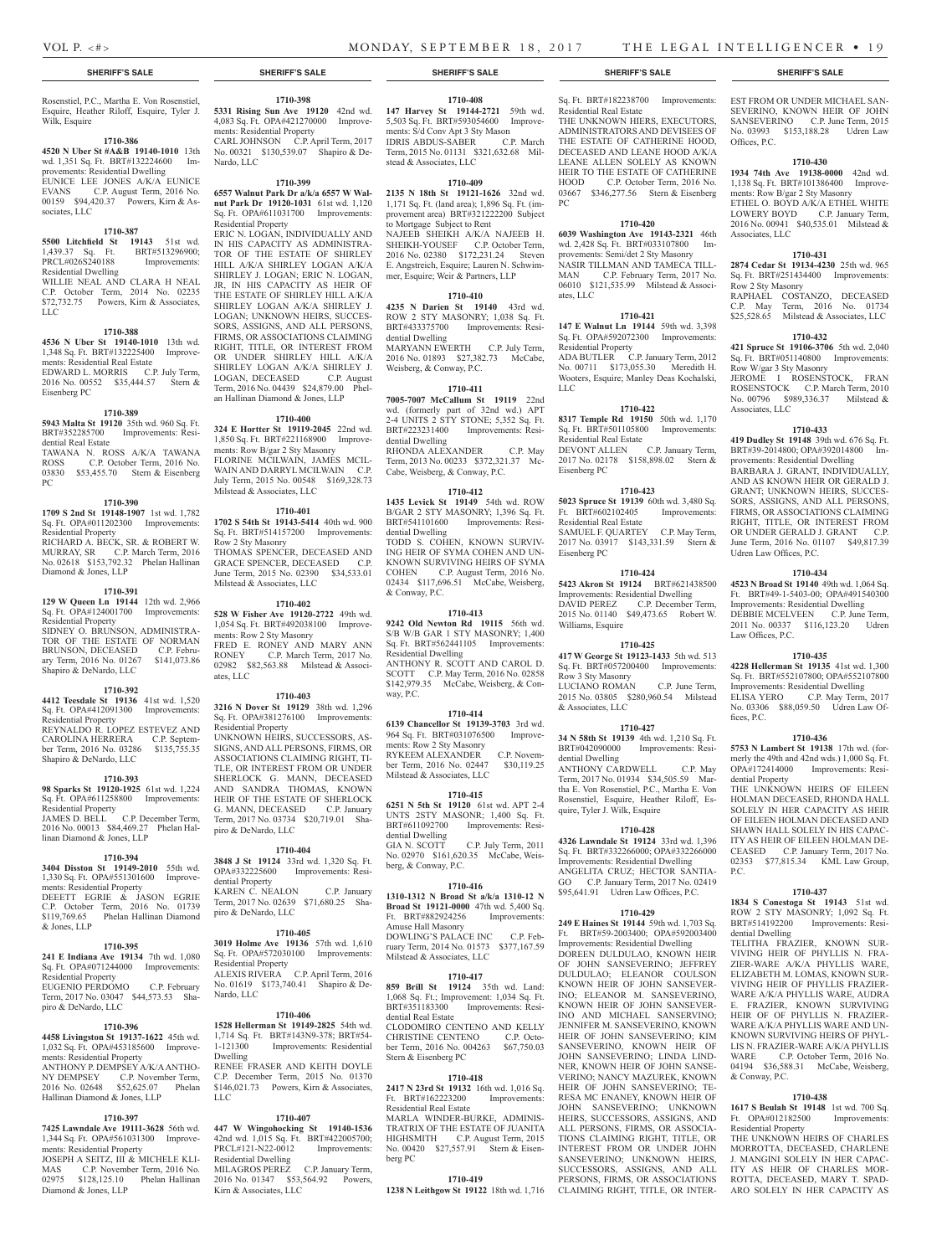sociates, LLC

Rosenstiel, P.C., Martha E. Von Rosenstiel, Esquire, Heather Riloff, Esquire, Tyler J. Wilk, Esquire

### **1710-386**

**4520 N Uber St #A&B 19140-1010** 13th wd. 1,351 Sq. Ft. BRT#132224600 Improvements: Residential Dwelling EUNICE LEE JONES A/K/A EUNICE<br>EVANS C.P. August Term, 2016 No. C.P. August Term, 2016 No. 00159 \$94,420.37 Powers, Kirn & As-

#### **1710-387**

**5500 Litchfield St 19143** 51st wd.<br>1,439.37 Sq. Ft. BRT#513296900; 1,439.37 Sq. Ft. BRT#513296900; PRCL#026S240188 Improvements: Residential Dwelling

WILLIE NEAL AND CLARA H NEAL C.P. October Term, 2014 No. 02235 \$72,732.75 Powers, Kirn & Associates, LLC

#### **1710-388**

**4536 N Uber St 19140-1010** 13th wd. 1,348 Sq. Ft. BRT#132225400 Improvements: Residential Real Estate EDWARD L. MORRIS C.P. July Term, 2016 No. 00552 \$35,444.57 Stern & Eisenberg PC

## **1710-389**

**5943 Malta St 19120** 35th wd. 960 Sq. Ft. Improvements: Residential Real Estate TAWANA N. ROSS A/K/A TAWANA

ROSS C.P. October Term, 2016 No.<br>03830 \$53.455.70 Stern & Eisenberg \$53,455.70 Stern & Eisenberg PC

## **1710-390**

**1709 S 2nd St 19148-1907** 1st wd. 1,782 Sq. Ft. OPA#011202300 Improvements: Residential Property RICHARD A. BECK, SR. & ROBERT W. MURRAY, SR C.P. March Term, 2016 No. 02618 \$153,792.32 Phelan Hallinan Diamond & Jones, LLP

### **1710-391**

**129 W Queen Ln 19144** 12th wd. 2,966 Sq. Ft. OPA#124001700 Improvements: Residential Property SIDNEY O. BRUNSON, ADMINISTRA-TOR OF THE ESTATE OF NORMAN BRUNSON, DECEASED C.P. Febru-<br>ary Term, 2016 No. 01267 \$141,073.86 ary Term, 2016 No. 01267 Shapiro & DeNardo, LLC

## **1710-392**

**4412 Teesdale St 19136** 41st wd. 1,520 Sq. Ft. OPA#412091300 Improvements: Residential Property REYNALDO R. LOPEZ ESTEVEZ AND CAROLINA HERRERA C.P. September Term, 2016 No. 03286 \$135,755.35 Shapiro & DeNardo, LLC

### **1710-393**

**98 Sparks St 19120-1925** 61st wd. 1,224 Sq. Ft. OPA#611258800 Improvements: Residential Property

JAMES D. BELL C.P. December Term, 2016 No. 00013 \$84,469.27 Phelan Hallinan Diamond & Jones, LLP

## **1710-394**

**3404 Disston St 19149-2010** 55th wd. 1,330 Sq. Ft. OPA#551301600 Improvements: Residential Property DEEETT EGRIE & JASON EGRIE C.P. October Term, 2016 No. 01739 \$119,769.65 Phelan Hallinan Diamond & Jones, LLP

## **1710-395**

**241 E Indiana Ave 19134** 7th wd. 1,080 Sq. Ft. OPA#071244000 Improvements: Residential Property EUGENIO PERDOMO C.P. February Term, 2017 No. 03047 \$44,573.53 Shapiro & DeNardo, LLC

## **1710-396**

**4458 Livingston St 19137-1622** 45th wd. 1,032 Sq. Ft. OPA#453185600 Improvements: Residential Property ANTHONY P. DEMPSEY A/K/A ANTHO-NY DEMPSEY C.P. November Term, 2016 No. 02648 \$52,625.07 Phelan Hallinan Diamond & Jones, LLP

## **1710-397**

**7425 Lawndale Ave 19111-3628** 56th wd. 1,344 Sq. Ft. OPA#561031300 Improvements: Residential Property JOSEPH A SEITZ, III & MICHELE KLI-MAS C.P. November Term, 2016 No. 02975 \$128,125.10 Phelan Hallinan Diamond & Jones, LLP

## **1710-398 5331 Rising Sun Ave 19120** 42nd wd.

4,083 Sq. Ft. OPA#421270000 Improvements: Residential Property CARL JOHNSON C.P. April Term, 2017 No. 00321 \$130,539.07 Shapiro & De-Nardo, LLC

## **1710-399**

**6557 Walnut Park Dr a/k/a 6557 W Walnut Park Dr 19120-1031** 61st wd. 1,120 Sq. Ft. OPA#611031700 Improvements: Residential Property ERIC N. LOGAN, INDIVIDUALLY AND IN HIS CAPACITY AS ADMINISTRA-TOR OF THE ESTATE OF SHIRLEY HILL A/K/A SHIRLEY LOGAN A/K/A SHIRLEY J. LOGAN; ERIC N. LOGAN, JR, IN HIS CAPACITY AS HEIR OF THE ESTATE OF SHIRLEY HILL A/K/A SHIRLEY LOGAN A/K/A SHIRLEY J. LOGAN; UNKNOWN HEIRS, SUCCES-SORS, ASSIGNS, AND ALL PERSONS, FIRMS, OR ASSOCIATIONS CLAIMING RIGHT, TITLE, OR INTEREST FROM OR UNDER SHIRLEY HILL A/K/A SHIRLEY LOGAN A/K/A SHIRLEY J.<br>LOGAN. DECEASED C.P. August LOGAN, DECEASED Term, 2016 No. 04439 \$24,879.00 Phel-

an Hallinan Diamond & Jones, LLP

**1710-400 324 E Hortter St 19119-2045** 22nd wd. 1,850 Sq. Ft. BRT#221168900 Improvements: Row B/gar 2 Sty Masonry FLORINE MCILWAIN, JAMES MCIL-WAIN AND DARRYL MCILWAIN C.P. July Term, 2015 No. 00548 \$169,328.73 Milstead & Associates, LLC

## **1710-401**

**1702 S 54th St 19143-5414** 40th wd. 900 Sq. Ft. BRT#514157200 Improvements: Row 2 Sty Masonry THOMAS SPENCER, DECEASED AND GRACE SPENCER, DECEASED C.P. June Term, 2015 No. 02390 \$34,533.01 Milstead & Associates, LLC

## **1710-402**

**528 W Fisher Ave 19120-2722** 49th wd. 1,054 Sq. Ft. BRT#492038100 Improvements: Row 2 Sty Masonry FRED E. RONEY AND MARY ANN RONEY C.P. March Term. 2017 No. C.P. March Term, 2017 No. 02982 \$82,563.88 Milstead & Associates, LLC

#### **1710-403**

**3216 N Dover St 19129** 38th wd. 1,296 Sq. Ft. OPA#381276100 Improvements: Residential Property UNKNOWN HEIRS, SUCCESSORS, AS-SIGNS, AND ALL PERSONS, FIRMS, OR ASSOCIATIONS CLAIMING RIGHT, TI-TLE, OR INTEREST FROM OR UNDER SHERLOCK G. MANN, DECEASED AND SANDRA THOMAS, KNOWN HEIR OF THE ESTATE OF SHERLOCK<br>G. MANN, DECEASED C.P. January G. MANN, DECEASED Term, 2017 No. 03734 \$20,719.01 Shapiro & DeNardo, LLC

## **1710-404**

**3848 J St 19124** 33rd wd. 1,320 Sq. Ft. Improvements: Residential Property<br>KAREN C. NEALON KAREN C. NEALON C.P. January Term, 2017 No. 02639 \$71,680.25 Shapiro & DeNardo, LLC

## **1710-405**

**3019 Holme Ave 19136** 57th wd. 1,610 Sq. Ft. OPA#572030100 Improvements: Residential Property ALEXIS RIVERA C.P. April Term, 2016 No. 01619 \$173,740.41 Shapiro & De-Nardo, LLC

## **1710-406**

**1528 Hellerman St 19149-2825** 54th wd. 1,714 Sq. Ft. BRT#143N9-378; BRT#54- 1-121300 Improvements: Residential Dwelling RENEE FRASER AND KEITH DOYLE C.P. December Term, 2015 No. 01370 \$146,021.73 Powers, Kirn & Associates,

## **1710-407**

LLC

**447 W Wingohocking St 19140-1536**  42nd wd. 1,015 Sq. Ft. BRT#422005700; PRCL#121-N22-0012 Improvements: Residential Dwelling MILAGROS PEREZ C.P. January Term, 2016 No. 01347 \$53,564.92 Powers, Kirn & Associates, LLC

## **1710-408**

**147 Harvey St 19144-2721** 59th wd. 5,503 Sq. Ft. BRT#593054600 Improvements: S/d Conv Apt 3 Sty Mason<br>IDRIS ABDUS-SABER C.P. March IDRIS ABDUS-SABER Term, 2015 No. 01131 \$321,632.68 Milstead & Associates, LLC

## **1710-409**

**2135 N 18th St 19121-1626** 32nd wd. 1,171 Sq. Ft. (land area); 1,896 Sq. Ft. (improvement area) BRT#321222200 Subject to Mortgage Subject to Rent NAJEEB SHEIKH A/K/A NAJEEB H.<br>SHEIKH-YOUSEF C.P. October Term, C.P. October Term, 2016 No. 02380 \$172,231.24 Steven E. Angstreich, Esquire; Lauren N. Schwimmer, Esquire; Weir & Partners, LLP

## **1710-410**

**4235 N Darien St 19140** 43rd wd. ROW 2 STY MASONRY; 1,038 Sq. Ft. Improvements: Residential Dwelling MARYANN EWERTH C.P. July Term, 2016 No. 01893 \$27,382.73 McCabe,

## **1710-411**

Weisberg, & Conway, P.C.

**7005-7007 McCallum St 19119** 22nd wd. (formerly part of 32nd wd.) APT 2-4 UNITS 2 STY STONE; 5,352 Sq. Ft. BRT#223231400 Improvements: Residential Dwelling RHONDA ALEXANDER C.P. May

Term, 2013 No. 00233 \$372,321.37 Mc-Cabe, Weisberg, & Conway, P.C.

## **1710-412**

**1435 Levick St 19149** 54th wd. ROW B/GAR 2 STY MASONRY; 1,396 Sq. Ft. Improvements: Residential Dwelling TODD S. COHEN, KNOWN SURVIV-ING HEIR OF SYMA COHEN AND UN-KNOWN SURVIVING HEIRS OF SYMA<br>COHEN C.P. August Term. 2016 No. C.P. August Term, 2016 No. 02434 \$117,696.51 McCabe, Weisberg, & Conway, P.C.

## **1710-413**

**9242 Old Newton Rd 19115** 56th wd. S/B W/B GAR 1 STY MASONRY; 1,400 Sq. Ft. BRT#562441105 Improvements: Residential Dwelling ANTHONY R. SCOTT AND CAROL D. SCOTT C.P. May Term, 2016 No. 02858 \$142,979.35 McCabe, Weisberg, & Conway, P.C.

## **1710-414**

**6139 Chancellor St 19139-3703** 3rd wd. 964 Sq. Ft. BRT#031076500 Improvements: Row 2 Sty Masonry RYKEEM ALEXANDER C.P. November Term, 2016 No. 02447 \$30,119.25 Milstead & Associates, LLC

## **1710-415**

**6251 N 5th St 19120** 61st wd. APT 2-4 UNTS 2STY MASONR; 1,400 Sq. Ft. BRT#611092700 Improvements: Residential Dwelling<br>GIA N. SCOTT C.P. July Term, 2011 No. 02970 \$161,620.35 McCabe, Weisberg, & Conway, P.C.

## **1710-416**

**1310-1312 N Broad St a/k/a 1310-12 N Broad St 19121-0000** 47th wd. 5,400 Sq.<br>Ft. BRT#882924256 Improvements: Ft. BRT#882924256 Amuse Hall Masonry DOWLING'S PALACE INC C.P. February Term, 2014 No. 01573 \$377,167.59 Milstead & Associates, LLC

## **1710-417**

**859 Brill St 19124** 35th wd. Land: 1,068 Sq. Ft.; Improvement: 1,034 Sq. Ft. Improvements: Residential Real Estate CLODOMIRO CENTENO AND KELLY<br>CHRISTINE CENTENO CP Octo-CHRISTINE CENTENO C.P. October Term, 2016 No. 004263 \$67,750.03 ber Term, 2016 No. 004263.

## **1710-418**

Stern & Eisenberg PC

**2417 N 23rd St 19132** 16th wd. 1,016 Sq. Ft. BRT#162223200 Improvements: Residential Real Estate MARLA WINDER-BURKE, ADMINIS-TRATRIX OF THE ESTATE OF JUANITA HIGHSMITH C.P. August Term, 2015 No. 00420 \$27,557.91 Stern & Eisenberg PC

#### **1710-419**

**1238 N Leithgow St 19122** 18th wd. 1,716

## **SHERIFF'S SALE SHERIFF'S SALE SHERIFF'S SALE SHERIFF'S SALE SHERIFF'S SALE**

Sq. Ft. BRT#182238700 Improvements: Residential Real Estate THE UNKNOWN HIERS, EXECUTORS ADMINISTRATORS AND DEVISEES OF THE ESTATE OF CATHERINE HOOD. DECEASED AND LEANE HOOD A/K/A LEANE ALLEN SOLELY AS KNOWN HEIR TO THE ESTATE OF CATHERINE<br>HOOD C.P. October Term. 2016 No. C.P. October Term, 2016 No. 03667 \$346,277.56 Stern & Eisenberg PC

## **1710-420**

**6039 Washington Ave 19143-2321** 46th wd. 2,428 Sq. Ft. BRT#033107800 Improvements: Semi/det 2 Sty Masonry NASIR TILLMAN AND TAMECA TILL-MAN C.P. February Term, 2017 No. 06010 \$121,535.99 Milstead & Associates, LLC

#### **1710-421**

**147 E Walnut Ln 19144** 59th wd. 3,398 Sq. Ft. OPA#592072300 Improvements: Residential Property ADA BUTLER C.P. January Term, 2012 No. 00711 \$173,055.30 Meredith H. Wooters, Esquire; Manley Deas Kochalski, LLC

#### **1710-422**

**8317 Temple Rd 19150** 50th wd. 1,170 Sq. Ft. BRT#501105800 Improvements: Residential Real Estate DEVONT ALLEN C.P. January Term, 2017 No. 02178 \$158,898.02 Stern & Eisenberg PC

## **1710-423**

**5023 Spruce St 19139** 60th wd. 3,480 Sq. Ft. BRT#602102405 Residential Real Estate SAMUEL F. QUARTEY C.P. May Term, 2017 No. 03917 \$143,331.59 Stern & Eisenberg PC

## **1710-424**

**5423 Akron St 19124** BRT#621438500 Improvements: Residential Dwelling DAVID PEREZ C.P. December Term, 2015 No. 01140 \$49,473.65 Robert W. Williams, Esquire

## **1710-425**

**417 W George St 19123-1433** 5th wd. 513 Sq. Ft. BRT#057200400 Improvements: Row 3 Sty Masonry LUCIANO ROMAN C.P. June Term, 2015 No. 03805 \$280,960.54 Milstead & Associates, LLC

## **1710-427**

**34 N 58th St 19139** 4th wd. 1,210 Sq. Ft. BRT#042090000 Improvements: Residential Dwelling ANTHONY CARDWELL C.P. May Term, 2017 No. 01934 \$34,505.59 Martha E. Von Rosenstiel, P.C., Martha E. Von Rosenstiel, Esquire, Heather Riloff, Esquire, Tyler J. Wilk, Esquire

## **1710-428**

**4326 Lawndale St 19124** 33rd wd. 1,396 Sq. Ft. BRT#332266000; OPA#332266000 Improvements: Residential Dwelling ANGELITA CRUZ; HECTOR SANTIA-GO C.P. January Term, 2017 No. 02419 \$95,641.91 Udren Law Offices, P.C.

## **1710-429**

**249 E Haines St 19144** 59th wd. 1,703 Sq. Ft. BRT#59-2003400; OPA#592003400 Improvements: Residential Dwelling DOREEN DULDULAO, KNOWN HEIR OF JOHN SANSEVERINO; JEFFREY DULDULAO; ELEANOR COULSON KNOWN HEIR OF JOHN SANSEVER-INO; ELEANOR M. SANSEVERINO, KNOWN HEIR OF JOHN SANSEVER-INO AND MICHAEL SANSERVINO; JENNIFER M. SANSEVERINO, KNOWN HEIR OF JOHN SANSEVERINO; KIM SANSEVERINO, KNOWN HEIR JOHN SANSEVERINO; LINDA LIND-NER, KNOWN HEIR OF JOHN SANSE-VERINO; NANCY MAZUREK, KNOWN HEIR OF JOHN SANSEVERINO; TE-RESA MC ENANEY, KNOWN HEIR OF JOHN SANSEVERINO; UNKNOWN HEIRS, SUCCESSORS, ASSIGNS, AND ALL PERSONS, FIRMS, OR ASSOCIA-TIONS CLAIMING RIGHT, TITLE, OR INTEREST FROM OR UNDER JOHN SANSEVERINO; UNKNOWN HEIRS, SUCCESSORS, ASSIGNS, AND ALL PERSONS, FIRMS, OR ASSOCIATIONS CLAIMING RIGHT, TITLE, OR INTER-

EST FROM OR UNDER MICHAEL SAN-SEVERINO, KNOWN HEIR OF JOHN SANSEVERINO C.P. June Term, 2015 No. 03993 \$153,188.28 Udren Law Offices, P.C.

### **1710-430**

Associates, LLC

Row 2 Sty Masonry

Row W/gar 3 Sty Masonry

Udren Law Offices, P.C.

Law Offices, P.C.

fices, P.C.

dential Property

dential Dwelling

& Conway, P.C.

Residential Property

P.C.

Associates, LLC

**1934 74th Ave 19138-0000** 42nd wd. 1,138 Sq. Ft. BRT#101386400 Improvements: Row B/gar 2 Sty Masonry ETHEL O. BOYD A/K/A ETHEL WHITE LOWERY BOYD C.P. January Term, 2016 No. 00941 \$40,535.01 Milstead &

**1710-431 2874 Cedar St 19134-4230** 25th wd. 965 Sq. Ft. BRT#251434400 Improvements:

RAPHAEL COSTANZO, DECEASED C.P. May Term, 2016 No. 01734 \$25,528.65 Milstead & Associates, LLC **1710-432 421 Spruce St 19106-3706** 5th wd. 2,040 Sq. Ft. BRT#051140800 Improvements:

JEROME I ROSENSTOCK, FRAN ROSENSTOCK C.P. March Term, 2010 No. 00796 \$989,336.37 Milstead &

**1710-433 419 Dudley St 19148** 39th wd. 676 Sq. Ft. BRT#39-2014800; OPA#392014800 Improvements: Residential Dwelling BARBARA J. GRANT, INDIVIDUALLY, AND AS KNOWN HEIR OR GERALD J. GRANT; UNKNOWN HEIRS, SUCCES-SORS, ASSIGNS, AND ALL PERSONS, FIRMS, OR ASSOCIATIONS CLAIMING RIGHT, TITLE, OR INTEREST FROM OR UNDER GERALD J. GRANT C.P. June Term, 2016 No. 01107 \$49,817.39

**1710-434 4523 N Broad St 19140** 49th wd. 1,064 Sq. Ft. BRT#49-1-5403-00; OPA#491540300 Improvements: Residential Dwelling DEBBIE MCELVEEN C.P. June Term, 2011 No. 00337 \$116,123.20 Udren

**1710-435 4228 Hellerman St 19135** 41st wd. 1,300 Sq. Ft. BRT#552107800; OPA#552107800 Improvements: Residential Dwelling ELISA YERO C.P. May Term, 2017 No. 03306 \$88,059.50 Udren Law Of-

**1710-436 5753 N Lambert St 19138** 17th wd. (formerly the 49th and 42nd wds.) 1,000 Sq. Ft. OPA#172414000 Improvements: Resi-

THE UNKNOWN HEIRS OF EILEEN HOLMAN DECEASED, RHONDA HALL SOLELY IN HER CAPACITY AS HEIR OF EILEEN HOLMAN DECEASED AND SHAWN HALL SOLELY IN HIS CAPAC-ITY AS HEIR OF EILEEN HOLMAN DE-CEASED C.P. January Term, 2017 No. 02353 \$77,815.34 KML Law Group,

**1710-437 1834 S Conestoga St 19143** 51st wd. ROW 2 STY MASONRY; 1,092 Sq. Ft. BRT#514192200 Improvements: Resi-

TELITHA FRAZIER, KNOWN SUR-VIVING HEIR OF PHYLLIS N. FRA-ZIER-WARE A/K/A PHYLLIS WARE, ELIZABETH M. LOMAS, KNOWN SUR-VIVING HEIR OF PHYLLIS FRAZIER-WARE A/K/A PHYLLIS WARE, AUDRA E. FRAZIER, KNOWN SURVIVING HEIR OF OF PHYLLIS N. FRAZIER-WARE A/K/A PHYLLIS WARE AND UN-KNOWN SURVIVING HEIRS OF PHYL-LIS N. FRAZIER-WARE A/K/A PHYLLIS WARE C.P. October Term, 2016 No. 04194 \$36,588.31 McCabe, Weisberg,

**1710-438 1617 S Beulah St 19148** 1st wd. 700 Sq. Ft. OPA#012182500 Improvements:

THE UNKNOWN HEIRS OF CHARLES MORROTTA, DECEASED, CHARLENE J. MANGINI SOLELY IN HER CAPAC-ITY AS HEIR OF CHARLES MOR-ROTTA, DECEASED, MARY T. SPAD-ARO SOLELY IN HER CAPACITY AS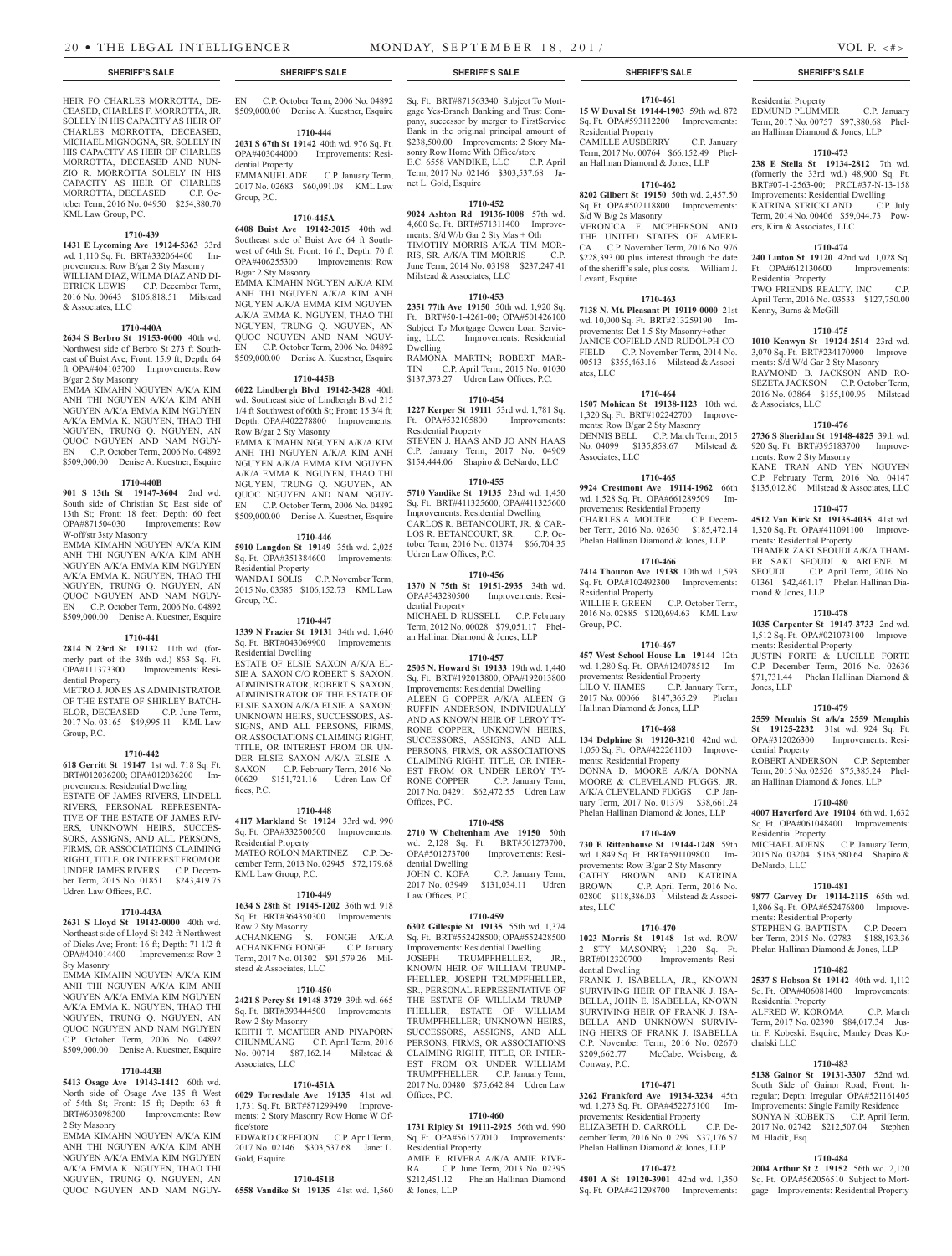HEIR FO CHARLES MORROTTA, DE-CEASED, CHARLES F. MORROTTA, JR. SOLELY IN HIS CAPACITY AS HEIR OF CHARLES MORROTTA, DECEASED, MICHAEL MIGNOGNA, SR. SOLELY IN HIS CAPACITY AS HEIR OF CHARLES MORROTTA, DECEASED AND NUN-ZIO R. MORROTTA SOLELY IN HIS CAPACITY AS HEIR OF CHARLES MORROTTA, DECEASED C.P. October Term, 2016 No. 04950 \$254,880.70

**1710-439 1431 E Lycoming Ave 19124-5363** 33rd wd. 1,110 Sq. Ft. BRT#332064400 Improvements: Row B/gar 2 Sty Masonry WILLIAM DIAZ, WILMA DIAZ AND DI-ETRICK LEWIS C.P. December Term, 2016 No. 00643 \$106,818.51 Milstead

**1710-440A 2634 S Berbro St 19153-0000** 40th wd. Northwest side of Berbro St 273 ft Southeast of Buist Ave; Front: 15.9 ft; Depth: 64 ft OPA#404103700 Improvements: Row

EMMA KIMAHN NGUYEN A/K/A KIM ANH THI NGUYEN A/K/A KIM ANH NGUYEN A/K/A EMMA KIM NGUYEN A/K/A EMMA K. NGUYEN, THAO THI NGUYEN, TRUNG Q. NGUYEN, AN QUOC NGUYEN AND NAM NGUY-EN C.P. October Term, 2006 No. 04892 \$509,000.00 Denise A. Kuestner, Esquire **1710-440B 901 S 13th St 19147-3604** 2nd wd. South side of Christian St; East side of 13th St; Front: 18 feet; Depth: 60 feet

EMMA KIMAHN NGUYEN A/K/A KIM ANH THI NGUYEN A/K/A KIM ANH NGUYEN A/K/A EMMA KIM NGUYEN A/K/A EMMA K. NGUYEN, THAO THI NGUYEN, TRUNG Q. NGUYEN, AN QUOC NGUYEN AND NAM NGUY-EN C.P. October Term, 2006 No. 04892 \$509,000.00 Denise A. Kuestner, Esquire **1710-441 2814 N 23rd St 19132** 11th wd. (formerly part of the 38th wd.) 863 Sq. Ft. OPA#111373300 Improvements: Resi-

METRO J. JONES AS ADMINISTRATOR OF THE ESTATE OF SHIRLEY BATCH-<br>ELOR, DECEASED C.P. June Term,

2017 No. 03165 \$49,995.11 KML Law

**1710-442 618 Gerritt St 19147** 1st wd. 718 Sq. Ft. BRT#012036200; OPA#012036200 Improvements: Residential Dwelling ESTATE OF JAMES RIVERS, LINDELL RIVERS, PERSONAL REPRESENTA-TIVE OF THE ESTATE OF JAMES RIV-ERS, UNKNOWN HEIRS, SUCCES-SORS, ASSIGNS, AND ALL PERSONS, FIRMS, OR ASSOCIATIONS CLAIMING RIGHT, TITLE, OR INTEREST FROM OR UNDER JAMES RIVERS C.P. December Term, 2015 No. 01851 \$243,419.75

**1710-443A 2631 S Lloyd St 19142-0000** 40th wd. Northeast side of Lloyd St 242 ft Northwest of Dicks Ave; Front: 16 ft; Depth: 71 1/2 ft OPA#404014400 Improvements: Row 2

EMMA KIMAHN NGUYEN A/K/A KIM ANH THI NGUYEN A/K/A KIM ANH NGUYEN A/K/A EMMA KIM NGUYEN A/K/A EMMA K. NGUYEN, THAO THI NGUYEN, TRUNG Q. NGUYEN, AN QUOC NGUYEN AND NAM NGUYEN C.P. October Term, 2006 No. 04892 \$509,000.00 Denise A. Kuestner, Esquire **1710-443B 5413 Osage Ave 19143-1412** 60th wd. North side of Osage Ave 135 ft West of 54th St; Front:  $15$  ft; Depth: 63 ft BRT#603098300 Improvements: Row

EMMA KIMAHN NGUYEN A/K/A KIM ANH THI NGUYEN A/K/A KIM ANH NGUYEN A/K/A EMMA KIM NGUYEN A/K/A EMMA K. NGUYEN, THAO THI NGUYEN, TRUNG Q. NGUYEN, AN QUOC NGUYEN AND NAM NGUY-

Improvements: Row

KML Law Group, P.C.

& Associates, LLC

B/gar 2 Sty Masonry

W-off/str 3sty Masonry

dential Property

Group, P.C.

ELOR, DECEASED

Udren Law Offices, P.C.

Sty Masonry

2 Sty Masonry

EN C.P. October Term, 2006 No. 04892 \$509,000.00 Denise A. Kuestner, Esquire

**1710-444**

**2031 S 67th St 19142** 40th wd. 976 Sq. Ft.<br> **CPA#403044000** Improvements: Resi-Improvements: Residential Property EMMANUEL ADE C.P. January Term,

2017 No. 02683 \$60,091.08 KML Law Group, P.C.

## **1710-445A**

**6408 Buist Ave 19142-3015** 40th wd. Southeast side of Buist Ave 64 ft Southwest of 64th St; Front: 16 ft; Depth: 70 ft OPA#406255300 Improvements: Row B/gar 2 Sty Masonry EMMA KIMAHN NGUYEN A/K/A KIM ANH THI NGUYEN A/K/A KIM ANH NGUYEN A/K/A EMMA KIM NGUYEN A/K/A EMMA K. NGUYEN, THAO THI NGUYEN, TRUNG Q. NGUYEN, AN QUOC NGUYEN AND NAM NGUY-EN C.P. October Term, 2006 No. 04892

\$509,000.00 Denise A. Kuestner, Esquire **1710-445B**

**6022 Lindbergh Blvd 19142-3428** 40th wd. Southeast side of Lindbergh Blvd 215 1/4 ft Southwest of 60th St; Front: 15 3/4 ft; Depth: OPA#402278800 Improvements: Row B/gar 2 Sty Masonry

EMMA KIMAHN NGUYEN A/K/A KIM ANH THI NGUYEN A/K/A KIM ANH NGUYEN A/K/A EMMA KIM NGUYEN A/K/A EMMA K. NGUYEN, THAO THI NGUYEN, TRUNG Q. NGUYEN, AN QUOC NGUYEN AND NAM NGUY-EN C.P. October Term, 2006 No. 04892 \$509,000.00 Denise A. Kuestner, Esquire

## **1710-446**

**5910 Langdon St 19149** 35th wd. 2,025 Sq. Ft. OPA#351384600 Improvements: Residential Property WANDA I. SOLIS C.P. November Term,

2015 No. 03585 \$106,152.73 KML Law Group, P.C.

**1710-447**

**1339 N Frazier St 19131** 34th wd. 1,640 Sq. Ft. BRT#043069900 Improvements: Residential Dwelling ESTATE OF ELSIE SAXON A/K/A EL-SIE A. SAXON C/O ROBERT S. SAXON, ADMINISTRATOR; ROBERT S. SAXON, ADMINISTRATOR OF THE ESTATE OF ELSIE SAXON A/K/A ELSIE A. SAXON; UNKNOWN HEIRS, SUCCESSORS, AS-SIGNS, AND ALL PERSONS, FIRMS, OR ASSOCIATIONS CLAIMING RIGHT, TITLE, OR INTEREST FROM OR UN-DER ELSIE SAXON A/K/A ELSIE A. SAXON C.P. February Term, 2016 No. 00629 \$151,721.16 Udren Law Offices, P.C.

#### **1710-448**

**4117 Markland St 19124** 33rd wd. 990 Sq. Ft. OPA#332500500 Improvements: Residential Property MATEO ROLON MARTINEZ C.P. December Term, 2013 No. 02945 \$72,179.68 KML Law Group, P.C.

#### **1710-449**

**1634 S 28th St 19145-1202** 36th wd. 918 Sq. Ft. BRT#364350300 Improvements: Row 2 Sty Masonry ACHANKENG S. FONGE A/K/A ACHANKENG FONGE C.P. January Term, 2017 No. 01302 \$91,579.26 Milstead & Associates, LLC

## **1710-450**

**2421 S Percy St 19148-3729** 39th wd. 665 Sq. Ft. BRT#393444500 Improvements: Row 2 Sty Masonry KEITH T. MCATEER AND PIYAPORN CHUNMUANG C.P. April Term, 2016 No. 00714 \$87,162.14 Milstead & Associates, LLC

## **1710-451A**

**6029 Torresdale Ave 19135** 41st wd. 1,731 Sq. Ft. BRT#871299490 Improvements: 2 Story Masonry Row Home W Office/store EDWARD CREEDON C.P. April Term,

2017 No. 02146 \$303,537.68 Janet L. Gold, Esquire

## **1710-451B**

**6558 Vandike St 19135** 41st wd. 1,560

Sq. Ft. BRT#871563340 Subject To Mortgage Yes-Branch Banking and Trust Company, successor by merger to FirstService Bank in the original principal amount of

\$238,500.00 Improvements: 2 Story Masonry Row Home With Office/store<br>E.C. 6558 VANDIKE, LLC C.P. April E.C. 6558 VANDIKE, LLC Term, 2017 No. 02146 \$303,537.68 Janet L. Gold, Esquire

## **1710-452**

**9024 Ashton Rd 19136-1008** 57th wd. 4,600 Sq. Ft. BRT#571311400 Improvements:  $\dot{S}/d$  W/b Gar 2 Sty Mas + Oth TIMOTHY MORRIS A/K/A TIM MOR-RIS, SR. A/K/A TIM MORRIS C.P. June Term, 2014 No. 03198 \$237,247.41 Milstead & Associates, LLC

## **1710-453**

**2351 77th Ave 19150** 50th wd. 1,920 Sq. Ft. BRT#50-1-4261-00; OPA#501426100 Subject To Mortgage Ocwen Loan Servicing, LLC. Improvements: Residential Dwelling RAMONA MARTIN; ROBERT MAR-

TIN C.P. April Term, 2015 No. 01030 \$137,373.27 Udren Law Offices, P.C.

**1710-454 1227 Kerper St 19111** 53rd wd. 1,781 Sq. Ft. OPA#532105800 Improvements:

Residential Property STEVEN J. HAAS AND JO ANN HAAS C.P. January Term, 2017 No. 04909 \$154,444.06 Shapiro & DeNardo, LLC

## **1710-455**

**5710 Vandike St 19135** 23rd wd. 1,450 Sq. Ft. BRT#411325600; OPA#411325600 Improvements: Residential Dwelling CARLOS R. BETANCOURT, JR. & CAR-LOS R. BETANCOURT, SR. C.P. October Term, 2016 No. 01374 \$66,704.35 Udren Law Offices, P.C.

## **1710-456**

**1370 N 75th St 19151-2935** 34th wd. Improvements: Residential Property MICHAEL D. RUSSELL C.P. February

Term, 2012 No. 00028 \$79,051.17 Phelan Hallinan Diamond & Jones, LLP

#### **1710-457**

**2505 N. Howard St 19133** 19th wd. 1,440 Sq. Ft. BRT#192013800; OPA#192013800 Improvements: Residential Dwelling ALEEN G COPPER A/K/A ALEEN G RUFFIN ANDERSON, INDIVIDUALLY AND AS KNOWN HEIR OF LEROY TY-RONE COPPER, UNKNOWN HEIRS, SUCCESSORS, ASSIGNS, AND ALL PERSONS, FIRMS, OR ASSOCIATIONS CLAIMING RIGHT, TITLE, OR INTER-EST FROM OR UNDER LEROY TY-<br>RONE COPPER C.P. January Term, C.P. January Term, 2017 No. 04291 \$62,472.55 Udren Law

Offices, P.C.

## **1710-458 2710 W Cheltenham Ave 19150** 50th

wd. 2,128 Sq. Ft. BRT#501273700; OPA#501273700 Improvements: Residential Dwelling JOHN C. KOFA C.P. January Term, 2017 No. 03949 \$131,034.11 Udren Law Offices, P.C.

### **1710-459**

**6302 Gillespie St 19135** 55th wd. 1,374 Sq. Ft. BRT#552428500; OPA#552428500 Improvements: Residential Dwelling

JOSEPH TRUMPFHELLER, JR., KNOWN HEIR OF WILLIAM TRUMP-FHELLER; JOSEPH TRUMPFHELLER, SR., PERSONAL REPRESENTATIVE OF THE ESTATE OF WILLIAM TRUMP-FHELLER; ESTATE OF WILLIAM TRUMPFHELLER; UNKNOWN HEIRS, SUCCESSORS, ASSIGNS, AND ALL PERSONS, FIRMS, OR ASSOCIATIONS CLAIMING RIGHT, TITLE, OR INTER-EST FROM OR UNDER WILLIAM TRUMPFHELLER C.P. January Term, 2017 No. 00480 \$75,642.84 Udren Law Offices, P.C.

## **1710-460**

**1731 Ripley St 19111-2925** 56th wd. 990 Sq. Ft. OPA#561577010 Improvements: Residential Property AMIE E. RIVERA A/K/A AMIE RIVE-

RA C.P. June Term, 2013 No. 02395 \$212,451.12 Phelan Hallinan Diamond & Jones, LLP

## **1710-461**

**15 W Duval St 19144-1903** 59th wd. 872 Sq. Ft. OPA#593112200 Improvements: Residential Property CAMILLE AUSBERRY C.P. January Term, 2017 No. 00764 \$66,152.49 Phelan Hallinan Diamond & Jones, LLP

## **1710-462**

**8202 Gilbert St 19150** 50th wd. 2,457.50 Sq. Ft. OPA#502118800 Improvements: S/d W B/g 2s Masonry VERONICA F. MCPHERSON AND

THE UNITED STATES OF AMERI-CA C.P. November Term, 2016 No. 976 \$228,393.00 plus interest through the date of the sheriff's sale, plus costs. William J. Levant, Esquire

## **1710-463**

**7138 N. Mt. Pleasant Pl 19119-0000** 21st wd. 10,000 Sq. Ft. BRT#213259190 Improvements: Det 1.5 Sty Masonry+other JANICE COFIELD AND RUDOLPH CO-FIELD C.P. November Term, 2014 No. 00513 \$355,463.16 Milstead & Associates, LLC

## **1710-464**

**1507 Mohican St 19138-1123** 10th wd. 1,320 Sq. Ft. BRT#102242700 Improvements: Row B/gar 2 Sty Masonry DENNIS BELL C.P. March Term, 2015 No. 04099 \$135,858.67 Milstead & Associates, LLC

## **1710-465**

**9924 Crestmont Ave 19114-1962** 66th wd. 1,528 Sq. Ft. OPA#661289509 Improvements: Residential Property<br>CHARLES A. MOLTER C.P. Decem-.<br>CHARLES A. MOLTER ber Term, 2016 No. 02630 \$185,472.14 Phelan Hallinan Diamond & Jones, LLP

## **1710-466**

**7414 Thouron Ave 19138** 10th wd. 1,593 Sq. Ft. OPA#102492300 Improvements: Residential Property WILLIE F. GREEN C.P. October Term, 2016 No. 02885 \$120,694.63 KML Law

Group, P.C. **1710-467**

**457 West School House Ln 19144** 12th wd. 1,280 Sq. Ft. OPA#124078512 Improvements: Residential Property LILO V. HAMES C.P. January Term, 2017 No. 00066 \$147,365.29 Phelan Hallinan Diamond & Jones, LLP

## **1710-468**

**134 Delphine St 19120-3210** 42nd wd. 1,050 Sq. Ft. OPA#422261100 Improvements: Residential Property DONNA D. MOORE A/K/A DONNA MOORE & CLEVELAND FUGGS, JR. A/K/A CLEVELAND FUGGS C.P. January Term, 2017 No. 01379 \$38,661.24 Phelan Hallinan Diamond & Jones, LLP

## **1710-469**

**730 E Rittenhouse St 19144-1248** 59th wd. 1,849 Sq. Ft. BRT#591109800 Improvements: Row B/gar 2 Sty Masonry CATHY BROWN AND KATRINA<br>BROWN C.P. April Term, 2016 No. C.P. April Term, 2016 No. 02800 \$118,386.03 Milstead & Associates, LLC

## **1710-470**

**1023 Morris St 19148** 1st wd. ROW 2 STY MASONRY; 1,220 Sq. Ft. Improvements: Residential Dwelling

FRANK J. ISABELLA, JR., KNOWN SURVIVING HEIR OF FRANK J. ISA-BELLA, JOHN E. ISABELLA, KNOWN SURVIVING HEIR OF FRANK J. ISA-BELLA AND UNKNOWN SURVIV-ING HEIRS OF FRANK J. ISABELLA C.P. November Term, 2016 No. 02670<br>\$209,662.77 McCabe, Weisberg, & McCabe, Weisberg, & Conway, P.C.

## **1710-471**

**3262 Frankford Ave 19134-3234** 45th wd. 1,273 Sq. Ft. OPA#452275100 Improvements: Residential Property<br>ELIZABETH D. CARROLL C.P. De-ELIZABETH D. CARROLL cember Term, 2016 No. 01299 \$37,176.57 Phelan Hallinan Diamond & Jones, LLP

### **1710-472**

**4801 A St 19120-3901** 42nd wd. 1,350 Sq. Ft. OPA#421298700 Improvements:

### **SHERIFF'S SALE SHERIFF'S SALE SHERIFF'S SALE SHERIFF'S SALE SHERIFF'S SALE**

## Residential Property EDMUND PLUMMER C.P. January

Term, 2017 No. 00757 \$97,880.68 Phelan Hallinan Diamond & Jones, LLP

## **1710-473**

**238 E Stella St 19134-2812** 7th wd. (formerly the 33rd wd.) 48,900 Sq. Ft. BRT#07-1-2563-00; PRCL#37-N-13-158 Improvements: Residential Dwelling<br>KATRINA STRICKLAND C.P. July KATRINA STRICKLAND Term, 2014 No. 00406 \$59,044.73 Powers, Kirn & Associates, LLC

## **1710-474**

**240 Linton St 19120** 42nd wd. 1,028 Sq. Ft. OPA#612130600 Improvements: Residential Property TWO FRIENDS REALTY, INC C.P. April Term, 2016 No. 03533 \$127,750.00 Kenny, Burns & McGill

## **1710-475**

**1010 Kenwyn St 19124-2514** 23rd wd. 3,070 Sq. Ft. BRT#234170900 Improvements: S/d W/d Gar 2 Sty Masonry RAYMOND B. JACKSON AND RO-

SEZETA JACKSON C.P. October Term, 2016 No. 03864 \$155,100.96 Milstead & Associates, LLC

## **1710-476**

**2736 S Sheridan St 19148-4825** 39th wd. 920 Sq. Ft. BRT#395183700 Improvements: Row 2 Sty Masonry KANE TRAN AND YEN NGUYEN

C.P. February Term, 2016 No. 04147 \$135,012.80 Milstead & Associates, LLC

## **1710-477**

**4512 Van Kirk St 19135-4035** 41st wd. 1,320 Sq. Ft. OPA#411091100 Improvements: Residential Property THAMER ZAKI SEOUDI A/K/A THAM-ER SAKI SEOUDI & ARLENE M.<br>SEOUDI C.P. April Term, 2016 No. C.P. April Term, 2016 No. 01361 \$42,461.17 Phelan Hallinan Diamond & Jones, LLP

## **1710-478**

**1035 Carpenter St 19147-3733** 2nd wd. 1,512 Sq. Ft. OPA#021073100 Improvements: Residential Property

JUSTIN FORTE & LUCILLE FORTE C.P. December Term, 2016 No. 02636 \$71,731.44 Phelan Hallinan Diamond & Jones, LLP

## **1710-479 2559 Memhis St a/k/a 2559 Memphis**

**St 19125-2232** 31st wd. 924 Sq. Ft.

ROBERT ANDERSON C.P. September Term, 2015 No. 02526 \$75,385.24 Phelan Hallinan Diamond & Jones, LLP

**1710-480 4007 Haverford Ave 19104** 6th wd. 1,632 Sq. Ft. OPA#061048400 Improvements:

MICHAEL ADENS C.P. January Term, 2015 No. 03204 \$163,580.64 Shapiro &

**1710-481 9877 Garvey Dr 19114-2115** 65th wd. 1,806 Sq. Ft. OPA#652476800 Improve-

STEPHEN G. BAPTISTA C.P. December Term, 2015 No. 02783 \$188,193.36 Phelan Hallinan Diamond & Jones, LLP **1710-482 2537 S Hobson St 19142** 40th wd. 1,112 Sq. Ft. OPA#406081400 Improvements:

ALFRED W. KOROMA C.P. March Term, 2017 No. 02390 \$84,017.34 Justin F. Kobeski, Esquire; Manley Deas Ko-

**1710-483 5138 Gainor St 19131-3307** 52nd wd. South Side of Gainor Road; Front: Irregular; Depth: Irregular OPA#521161405 Improvements: Single Family Residence SONYA N. ROBERTS C.P. April Term, 2017 No. 02742 \$212,507.04 Stephen

**1710-484 2004 Arthur St 2 19152** 56th wd. 2,120 Sq. Ft. OPA#562056510 Subject to Mortgage Improvements: Residential Property

dential Property

Residential Property

ments: Residential Property

Residential Property

chalski LLC

M. Hladik, Esq.

DeNardo, LLC

Improvements: Resi-